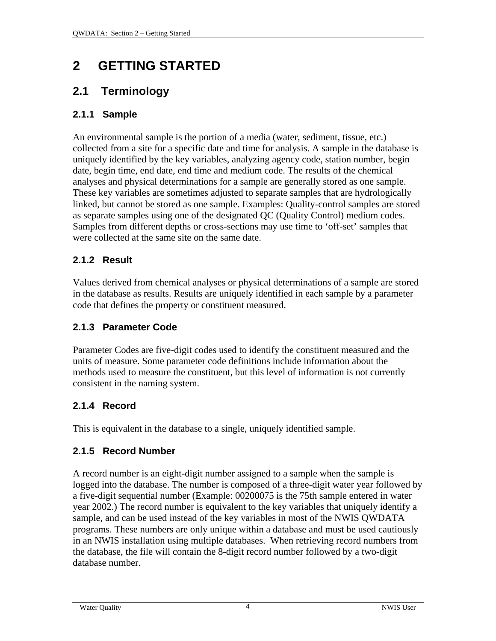# <span id="page-0-0"></span>**2 GETTING STARTED**

# **2.1 Terminology**

#### **2.1.1 Sample**

An environmental sample is the portion of a media (water, sediment, tissue, etc.) collected from a site for a specific date and time for analysis. A sample in the database is uniquely identified by the key variables, analyzing agency code, station number, begin date, begin time, end date, end time and medium code. The results of the chemical analyses and physical determinations for a sample are generally stored as one sample. These key variables are sometimes adjusted to separate samples that are hydrologically linked, but cannot be stored as one sample. Examples: Quality-control samples are stored as separate samples using one of the designated QC (Quality Control) medium codes. Samples from different depths or cross-sections may use time to 'off-set' samples that were collected at the same site on the same date.

#### **2.1.2 Result**

Values derived from chemical analyses or physical determinations of a sample are stored in the database as results. Results are uniquely identified in each sample by a parameter code that defines the property or constituent measured.

#### **2.1.3 Parameter Code**

Parameter Codes are five-digit codes used to identify the constituent measured and the units of measure. Some parameter code definitions include information about the methods used to measure the constituent, but this level of information is not currently consistent in the naming system.

# **2.1.4 Record**

This is equivalent in the database to a single, uniquely identified sample.

#### **2.1.5 Record Number**

A record number is an eight-digit number assigned to a sample when the sample is logged into the database. The number is composed of a three-digit water year followed by a five-digit sequential number (Example: 00200075 is the 75th sample entered in water year 2002.) The record number is equivalent to the key variables that uniquely identify a sample, and can be used instead of the key variables in most of the NWIS QWDATA programs. These numbers are only unique within a database and must be used cautiously in an NWIS installation using multiple databases. When retrieving record numbers from the database, the file will contain the 8-digit record number followed by a two-digit database number.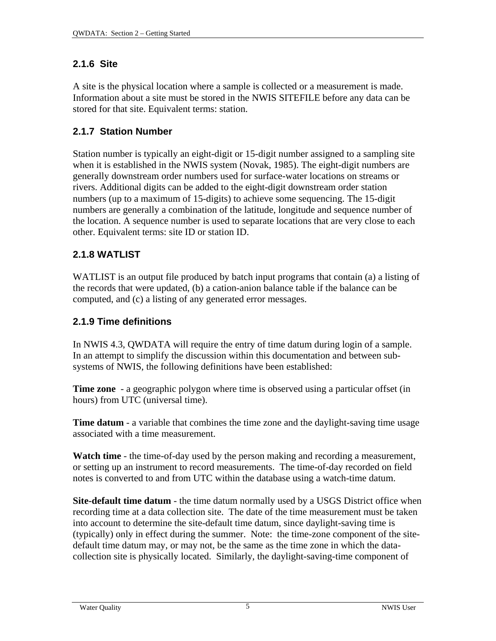#### <span id="page-1-0"></span>**2.1.6 Site**

A site is the physical location where a sample is collected or a measurement is made. Information about a site must be stored in the NWIS SITEFILE before any data can be stored for that site. Equivalent terms: station.

# **2.1.7 Station Number**

Station number is typically an eight-digit or 15-digit number assigned to a sampling site when it is established in the NWIS system (Novak, 1985). The eight-digit numbers are generally downstream order numbers used for surface-water locations on streams or rivers. Additional digits can be added to the eight-digit downstream order station numbers (up to a maximum of 15-digits) to achieve some sequencing. The 15-digit numbers are generally a combination of the latitude, longitude and sequence number of the location. A sequence number is used to separate locations that are very close to each other. Equivalent terms: site ID or station ID.

# **2.1.8 WATLIST**

WATLIST is an output file produced by batch input programs that contain (a) a listing of the records that were updated, (b) a cation-anion balance table if the balance can be computed, and (c) a listing of any generated error messages.

# **2.1.9 Time definitions**

In NWIS 4.3, QWDATA will require the entry of time datum during login of a sample. In an attempt to simplify the discussion within this documentation and between subsystems of NWIS, the following definitions have been established:

**Time zone** - a geographic polygon where time is observed using a particular offset (in hours) from UTC (universal time).

**Time datum** - a variable that combines the time zone and the daylight-saving time usage associated with a time measurement.

**Watch time** - the time-of-day used by the person making and recording a measurement, or setting up an instrument to record measurements. The time-of-day recorded on field notes is converted to and from UTC within the database using a watch-time datum.

**Site-default time datum** - the time datum normally used by a USGS District office when recording time at a data collection site. The date of the time measurement must be taken into account to determine the site-default time datum, since daylight-saving time is (typically) only in effect during the summer. Note: the time-zone component of the sitedefault time datum may, or may not, be the same as the time zone in which the datacollection site is physically located. Similarly, the daylight-saving-time component of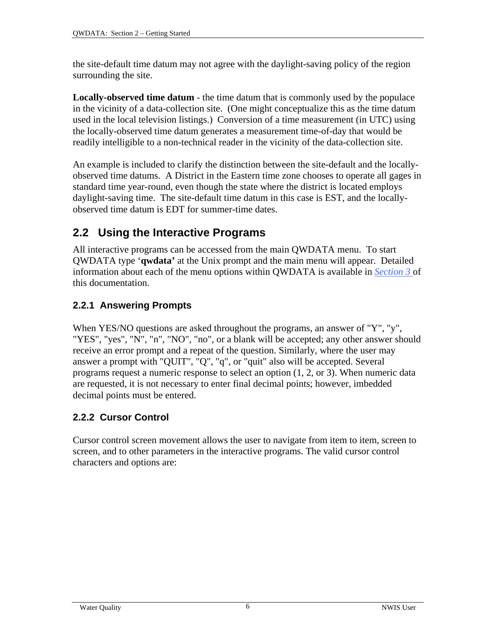<span id="page-2-0"></span>the site-default time datum may not agree with the daylight-saving policy of the region surrounding the site.

**Locally-observed time datum** - the time datum that is commonly used by the populace in the vicinity of a data-collection site. (One might conceptualize this as the time datum used in the local television listings.) Conversion of a time measurement (in UTC) using the locally-observed time datum generates a measurement time-of-day that would be readily intelligible to a non-technical reader in the vicinity of the data-collection site.

An example is included to clarify the distinction between the site-default and the locallyobserved time datums. A District in the Eastern time zone chooses to operate all gages in standard time year-round, even though the state where the district is located employs daylight-saving time. The site-default time datum in this case is EST, and the locallyobserved time datum is EDT for summer-time dates.

# **2.2 Using the Interactive Programs**

All interactive programs can be accessed from the main QWDATA menu. To start QWDATA type '**qwdata'** at the Unix prompt and the main menu will appear. Detailed information about each of the menu options within QWDATA is available in *[Section 3](#page-0-0)* of this documentation.

# **2.2.1 Answering Prompts**

When YES/NO questions are asked throughout the programs, an answer of "Y", "y", "YES", "yes", "N", "n", "NO", "no", or a blank will be accepted; any other answer should receive an error prompt and a repeat of the question. Similarly, where the user may answer a prompt with "QUIT", "Q", "q", or "quit" also will be accepted. Several programs request a numeric response to select an option (1, 2, or 3). When numeric data are requested, it is not necessary to enter final decimal points; however, imbedded decimal points must be entered.

# **2.2.2 Cursor Control**

Cursor control screen movement allows the user to navigate from item to item, screen to screen, and to other parameters in the interactive programs. The valid cursor control characters and options are: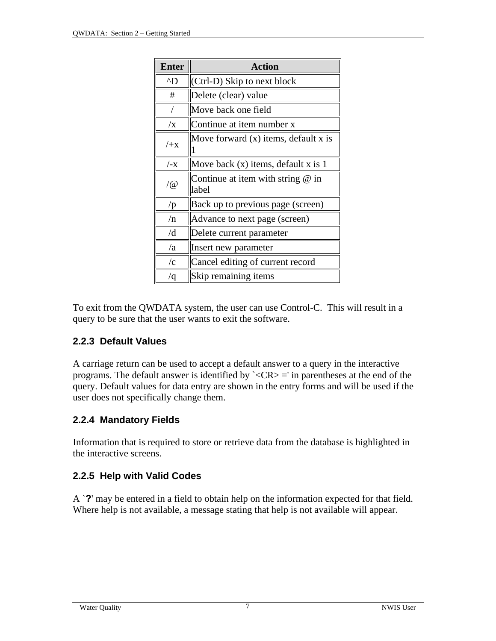<span id="page-3-0"></span>

| <b>Enter</b>        | <b>Action</b>                                |  |  |
|---------------------|----------------------------------------------|--|--|
| $^{\wedge}D$        | (Ctrl-D) Skip to next block                  |  |  |
| #                   | Delete (clear) value                         |  |  |
|                     | Move back one field                          |  |  |
| $\sqrt{x}$          | Continue at item number x                    |  |  |
| $+x$                | Move forward $(x)$ items, default x is       |  |  |
| $/_{\mathsf{-X}}$   | Move back $(x)$ items, default x is 1        |  |  |
| $\sqrt{\omega}$     | Continue at item with string $@$ in<br>label |  |  |
| /p                  | Back up to previous page (screen)            |  |  |
| /n                  | Advance to next page (screen)                |  |  |
| /d                  | Delete current parameter                     |  |  |
| /a                  | Insert new parameter                         |  |  |
| $\sqrt{\mathrm{c}}$ | Cancel editing of current record             |  |  |
| $\sqrt{q}$          | Skip remaining items                         |  |  |

To exit from the QWDATA system, the user can use Control-C. This will result in a query to be sure that the user wants to exit the software.

#### **2.2.3 Default Values**

A carriage return can be used to accept a default answer to a query in the interactive programs. The default answer is identified by  $\angle$ CR $>$  =' in parentheses at the end of the query. Default values for data entry are shown in the entry forms and will be used if the user does not specifically change them.

#### **2.2.4 Mandatory Fields**

Information that is required to store or retrieve data from the database is highlighted in the interactive screens.

#### **2.2.5 Help with Valid Codes**

A `**?**' may be entered in a field to obtain help on the information expected for that field. Where help is not available, a message stating that help is not available will appear.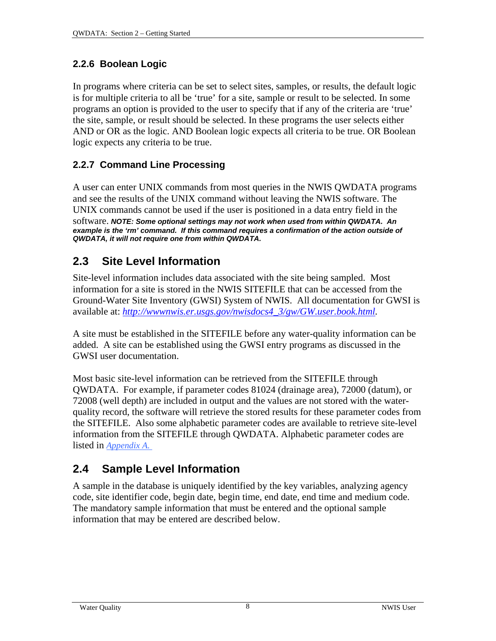#### <span id="page-4-0"></span>**2.2.6 Boolean Logic**

In programs where criteria can be set to select sites, samples, or results, the default logic is for multiple criteria to all be 'true' for a site, sample or result to be selected. In some programs an option is provided to the user to specify that if any of the criteria are 'true' the site, sample, or result should be selected. In these programs the user selects either AND or OR as the logic. AND Boolean logic expects all criteria to be true. OR Boolean logic expects any criteria to be true.

# **2.2.7 Command Line Processing**

A user can enter UNIX commands from most queries in the NWIS QWDATA programs and see the results of the UNIX command without leaving the NWIS software. The UNIX commands cannot be used if the user is positioned in a data entry field in the software. *NOTE: Some optional settings may not work when used from within QWDATA. An example is the 'rm' command. If this command requires a confirmation of the action outside of QWDATA, it will not require one from within QWDATA.*

# **2.3 Site Level Information**

Site-level information includes data associated with the site being sampled. Most information for a site is stored in the NWIS SITEFILE that can be accessed from the Ground-Water Site Inventory (GWSI) System of NWIS. All documentation for GWSI is available at: *[http://wwwnwis.er.usgs.gov/nwisdocs4\\_3/gw/GW.user.book.html](http://wwwnwis.er.usgs.gov/nwisdocs4_3/gw/GW.user.book.html).*

A site must be established in the SITEFILE before any water-quality information can be added. A site can be established using the GWSI entry programs as discussed in the GWSI user documentation.

Most basic site-level information can be retrieved from the SITEFILE through QWDATA. For example, if parameter codes 81024 (drainage area), 72000 (datum), or 72008 (well depth) are included in output and the values are not stored with the waterquality record, the software will retrieve the stored results for these parameter codes from the SITEFILE. Also some alphabetic parameter codes are available to retrieve site-level information from the SITEFILE through QWDATA. Alphabetic parameter codes are listed in *Appendix A.* 

# **2.4 Sample Level Information**

A sample in the database is uniquely identified by the key variables, analyzing agency code, site identifier code, begin date, begin time, end date, end time and medium code. The mandatory sample information that must be entered and the optional sample information that may be entered are described below.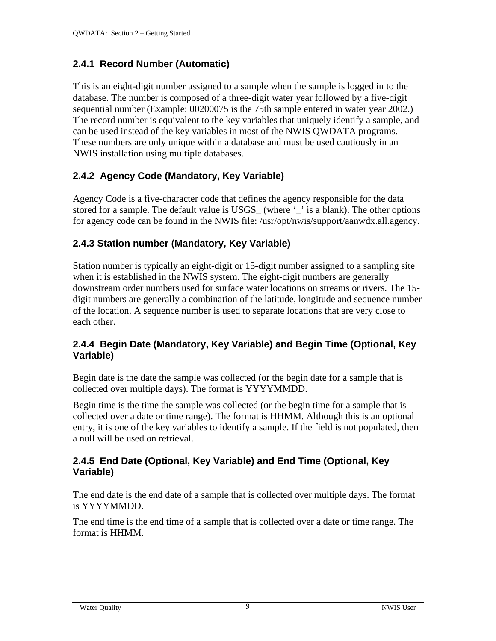#### <span id="page-5-0"></span>**2.4.1 Record Number (Automatic)**

This is an eight-digit number assigned to a sample when the sample is logged in to the database. The number is composed of a three-digit water year followed by a five-digit sequential number (Example: 00200075 is the 75th sample entered in water year 2002.) The record number is equivalent to the key variables that uniquely identify a sample, and can be used instead of the key variables in most of the NWIS QWDATA programs. These numbers are only unique within a database and must be used cautiously in an NWIS installation using multiple databases.

### **2.4.2 Agency Code (Mandatory, Key Variable)**

Agency Code is a five-character code that defines the agency responsible for the data stored for a sample. The default value is USGS\_ (where '\_' is a blank). The other options for agency code can be found in the NWIS file: /usr/opt/nwis/support/aanwdx.all.agency.

#### **2.4.3 Station number (Mandatory, Key Variable)**

Station number is typically an eight-digit or 15-digit number assigned to a sampling site when it is established in the NWIS system. The eight-digit numbers are generally downstream order numbers used for surface water locations on streams or rivers. The 15 digit numbers are generally a combination of the latitude, longitude and sequence number of the location. A sequence number is used to separate locations that are very close to each other.

#### **2.4.4 Begin Date (Mandatory, Key Variable) and Begin Time (Optional, Key Variable)**

Begin date is the date the sample was collected (or the begin date for a sample that is collected over multiple days). The format is YYYYMMDD.

Begin time is the time the sample was collected (or the begin time for a sample that is collected over a date or time range). The format is HHMM. Although this is an optional entry, it is one of the key variables to identify a sample. If the field is not populated, then a null will be used on retrieval.

#### **2.4.5 End Date (Optional, Key Variable) and End Time (Optional, Key Variable)**

The end date is the end date of a sample that is collected over multiple days. The format is YYYYMMDD.

The end time is the end time of a sample that is collected over a date or time range. The format is HHMM.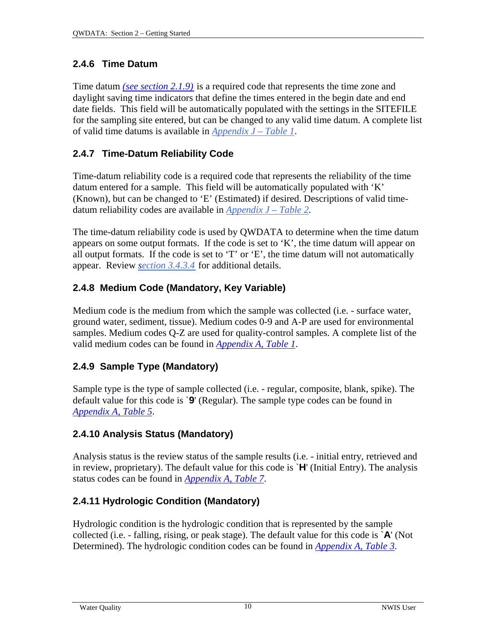### <span id="page-6-0"></span>**2.4.6 Time Datum**

Time datum *(see s[ection 2.1.9\)](#page-1-0)* is a required code that represents the time zone and daylight saving time indicators that define the times entered in the begin date and end date fields. This field will be automatically populated with the settings in the SITEFILE for the sampling site entered, but can be changed to any valid time datum. A complete list of valid time datums is available in *Appendix J – Table 1*.

# **2.4.7 Time-Datum Reliability Code**

Time-datum reliability code is a required code that represents the reliability of the time datum entered for a sample. This field will be automatically populated with 'K' (Known), but can be changed to 'E' (Estimated) if desired. Descriptions of valid timedatum reliability codes are available in *[Appendix J – Table 2](#page-2-0)*.

The time-datum reliability code is used by QWDATA to determine when the time datum appears on some output formats. If the code is set to 'K', the time datum will appear on all output formats. If the code is set to 'T' or 'E', the time datum will not automatically appear. Review *s[ection 3.4.3.4](#page-10-0)* for additional details.

# **2.4.8 Medium Code (Mandatory, Key Variable)**

Medium code is the medium from which the sample was collected (i.e. - surface water, ground water, sediment, tissue). Medium codes 0-9 and A-P are used for environmental samples. Medium codes Q-Z are used for quality-control samples. A complete list of the valid medium codes can be found in *[Appendix A, Table 1](#page-1-0)*.

# **2.4.9 Sample Type (Mandatory)**

Sample type is the type of sample collected (i.e. - regular, composite, blank, spike). The default value for this code is `**9**' (Regular). The sample type codes can be found in *Appendix A, Table 5*.

# **2.4.10 Analysis Status (Mandatory)**

Analysis status is the review status of the sample results (i.e. - initial entry, retrieved and in review, proprietary). The default value for this code is `**H**' (Initial Entry). The analysis status codes can be found in *Appendix A, Table 7*.

# **2.4.11 Hydrologic Condition (Mandatory)**

Hydrologic condition is the hydrologic condition that is represented by the sample collected (i.e. - falling, rising, or peak stage). The default value for this code is `**A**' (Not Determined). The hydrologic condition codes can be found in *[Appendix A, Table 3](#page-5-0)*.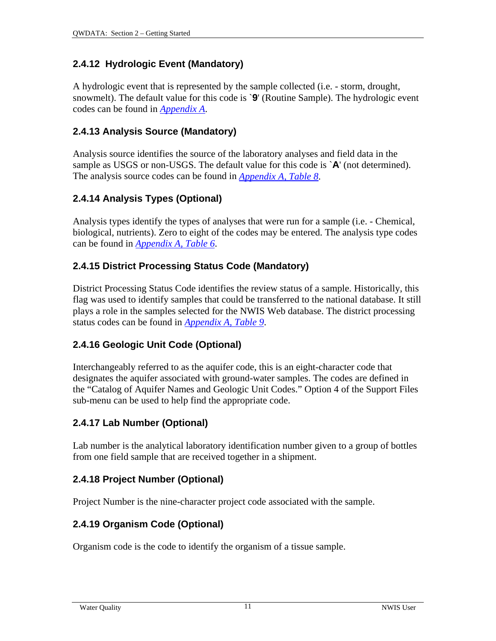#### **2.4.12 Hydrologic Event (Mandatory)**

A hydrologic event that is represented by the sample collected (i.e. - storm, drought, snowmelt). The default value for this code is `**9**' (Routine Sample). The hydrologic event codes can be found in *[Appendix A](#page-5-0)*.

#### **2.4.13 Analysis Source (Mandatory)**

Analysis source identifies the source of the laboratory analyses and field data in the sample as USGS or non-USGS. The default value for this code is `**A**' (not determined). The analysis source codes can be found in *Appendix A, Table 8*.

#### **2.4.14 Analysis Types (Optional)**

Analysis types identify the types of analyses that were run for a sample (i.e. - Chemical, biological, nutrients). Zero to eight of the codes may be entered. The analysis type codes can be found in *[Appendix A, Table 6](#page-6-0)*.

#### **2.4.15 District Processing Status Code (Mandatory)**

District Processing Status Code identifies the review status of a sample. Historically, this flag was used to identify samples that could be transferred to the national database. It still plays a role in the samples selected for the NWIS Web database. The district processing status codes can be found in *Appendix A, Table 9*.

#### **2.4.16 Geologic Unit Code (Optional)**

Interchangeably referred to as the aquifer code, this is an eight-character code that designates the aquifer associated with ground-water samples. The codes are defined in the "Catalog of Aquifer Names and Geologic Unit Codes." Option 4 of the Support Files sub-menu can be used to help find the appropriate code.

#### **2.4.17 Lab Number (Optional)**

Lab number is the analytical laboratory identification number given to a group of bottles from one field sample that are received together in a shipment.

#### **2.4.18 Project Number (Optional)**

Project Number is the nine-character project code associated with the sample.

#### **2.4.19 Organism Code (Optional)**

Organism code is the code to identify the organism of a tissue sample.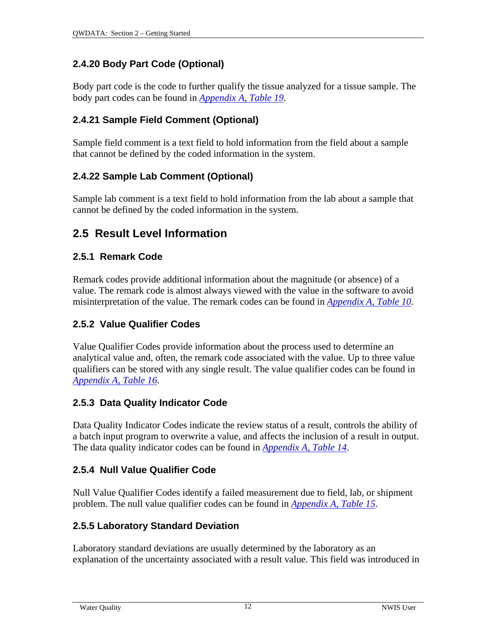#### <span id="page-8-0"></span>**2.4.20 Body Part Code (Optional)**

Body part code is the code to further qualify the tissue analyzed for a tissue sample. The body part codes can be found in *[Appendix A, Table 19](#page-20-0)*.

#### **2.4.21 Sample Field Comment (Optional)**

Sample field comment is a text field to hold information from the field about a sample that cannot be defined by the coded information in the system.

### **2.4.22 Sample Lab Comment (Optional)**

Sample lab comment is a text field to hold information from the lab about a sample that cannot be defined by the coded information in the system.

# **2.5 Result Level Information**

#### **2.5.1 Remark Code**

Remark codes provide additional information about the magnitude (or absence) of a value. The remark code is almost always viewed with the value in the software to avoid misinterpretation of the value. The remark codes can be found in *Appendix A, Table 10*.

### **2.5.2 Value Qualifier Codes**

Value Qualifier Codes provide information about the process used to determine an analytical value and, often, the remark code associated with the value. Up to three value qualifiers can be stored with any single result. The value qualifier codes can be found in *[Appendix A, Table 16](#page-14-0)*.

#### **2.5.3 Data Quality Indicator Code**

Data Quality Indicator Codes indicate the review status of a result, controls the ability of a batch input program to overwrite a value, and affects the inclusion of a result in output. The data quality indicator codes can be found in *[Appendix A, Table 14](#page-13-0)*.

#### **2.5.4 Null Value Qualifier Code**

Null Value Qualifier Codes identify a failed measurement due to field, lab, or shipment problem. The null value qualifier codes can be found in *[Appendix A, Table 15](#page-13-0)*.

#### **2.5.5 Laboratory Standard Deviation**

Laboratory standard deviations are usually determined by the laboratory as an explanation of the uncertainty associated with a result value. This field was introduced in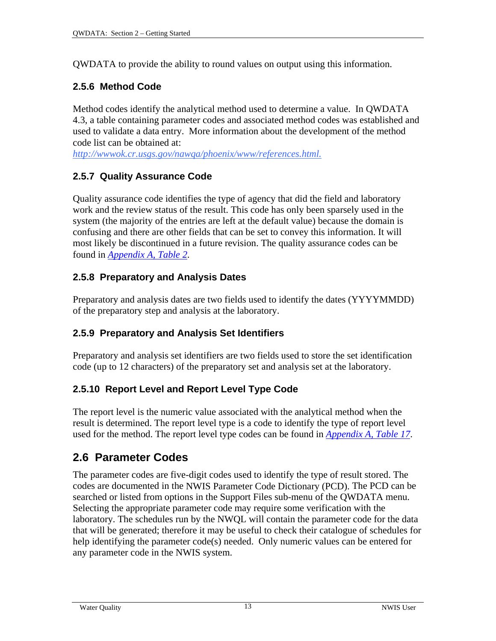<span id="page-9-0"></span>QWDATA to provide the ability to round values on output using this information.

### **2.5.6 Method Code**

Method codes identify the analytical method used to determine a value. In QWDATA 4.3, a table containing parameter codes and associated method codes was established and used to validate a data entry. More information about the development of the method code list can be obtained at:

*[http://wwwok.cr.usgs.gov/nawqa/phoenix/www/references.html.](http://wwwok.cr.usgs.gov/nawqa/phoenix/www/references.html)*

#### **2.5.7 Quality Assurance Code**

Quality assurance code identifies the type of agency that did the field and laboratory work and the review status of the result. This code has only been sparsely used in the system (the majority of the entries are left at the default value) because the domain is confusing and there are other fields that can be set to convey this information. It will most likely be discontinued in a future revision. The quality assurance codes can be found in *[Appendix A, Table 2](#page-4-0)*.

#### **2.5.8 Preparatory and Analysis Dates**

Preparatory and analysis dates are two fields used to identify the dates (YYYYMMDD) of the preparatory step and analysis at the laboratory.

#### **2.5.9 Preparatory and Analysis Set Identifiers**

Preparatory and analysis set identifiers are two fields used to store the set identification code (up to 12 characters) of the preparatory set and analysis set at the laboratory.

#### **2.5.10 Report Level and Report Level Type Code**

The report level is the numeric value associated with the analytical method when the result is determined. The report level type is a code to identify the type of report level used for the method. The report level type codes can be found in *[Appendix A, Table 17](#page-16-0)*.

# **2.6 Parameter Codes**

The parameter codes are five-digit codes used to identify the type of result stored. The codes are documented in the NWIS Parameter Code Dictionary (PCD). The PCD can be searched or listed from options in the Support Files sub-menu of the QWDATA menu. Selecting the appropriate parameter code may require some verification with the laboratory. The schedules run by the NWQL will contain the parameter code for the data that will be generated; therefore it may be useful to check their catalogue of schedules for help identifying the parameter code(s) needed. Only numeric values can be entered for any parameter code in the NWIS system.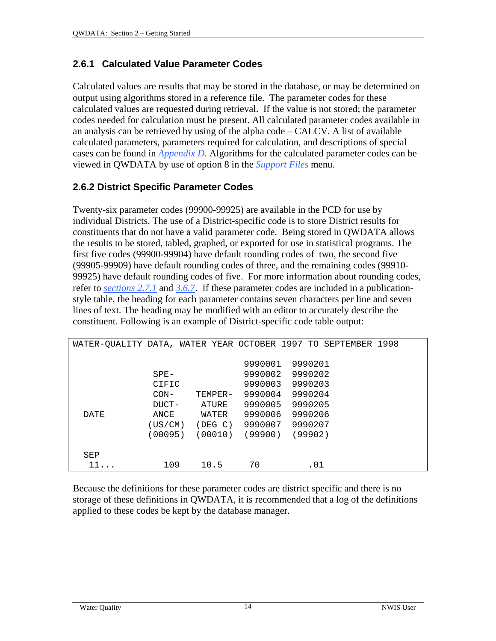#### <span id="page-10-0"></span>**2.6.1 Calculated Value Parameter Codes**

Calculated values are results that may be stored in the database, or may be determined on output using algorithms stored in a reference file. The parameter codes for these calculated values are requested during retrieval. If the value is not stored; the parameter codes needed for calculation must be present. All calculated parameter codes available in an analysis can be retrieved by using of the alpha code – CALCV. A list of available calculated parameters, parameters required for calculation, and descriptions of special cases can be found in *[Appendix D](#page-0-0)*. Algorithms for the calculated parameter codes can be viewed in QWDATA by use of option 8 in the *[Support Files](#page-4-0)* menu.

#### **2.6.2 District Specific Parameter Codes**

Twenty-six parameter codes (99900-99925) are available in the PCD for use by individual Districts. The use of a District-specific code is to store District results for constituents that do not have a valid parameter code. Being stored in QWDATA allows the results to be stored, tabled, graphed, or exported for use in statistical programs. The first five codes (99900-99904) have default rounding codes of two, the second five (99905-99909) have default rounding codes of three, and the remaining codes (99910- 99925) have default rounding codes of five. For more information about rounding codes, refer to *[sections 2.7.1](#page-12-0)* and *[3.6.7](#page-3-0)*. If these parameter codes are included in a publicationstyle table, the heading for each parameter contains seven characters per line and seven lines of text. The heading may be modified with an editor to accurately describe the constituent. Following is an example of District-specific code table output:

| WATER-OUALITY DATA, WATER YEAR OCTOBER 1997 TO SEPTEMBER 1998 |                                    |                                      |                                          |                                          |  |
|---------------------------------------------------------------|------------------------------------|--------------------------------------|------------------------------------------|------------------------------------------|--|
|                                                               | $SPE-$<br>CIFIC                    |                                      | 9990001<br>9990002<br>9990003            | 9990201<br>9990202<br>9990203            |  |
| <b>DATE</b>                                                   | $CON-$<br>DUCT-<br>ANCE<br>(US/CM) | TEMPER-<br>ATURE<br>WATER<br>(DEG C) | 9990004<br>9990005<br>9990006<br>9990007 | 9990204<br>9990205<br>9990206<br>9990207 |  |
|                                                               | (00095)                            | (00010)                              | (99900)                                  | (99902)                                  |  |
| SEP<br>$11 \ldots$                                            | 109                                | 10.5                                 | 70                                       | .01                                      |  |

Because the definitions for these parameter codes are district specific and there is no storage of these definitions in QWDATA, it is recommended that a log of the definitions applied to these codes be kept by the database manager.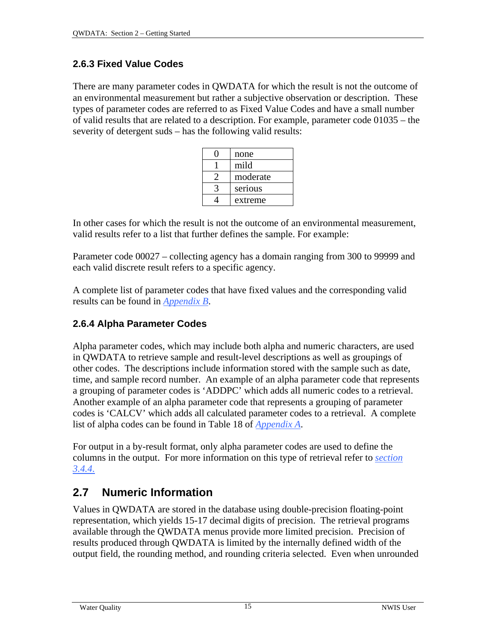#### **2.6.3 Fixed Value Codes**

There are many parameter codes in QWDATA for which the result is not the outcome of an environmental measurement but rather a subjective observation or description. These types of parameter codes are referred to as Fixed Value Codes and have a small number of valid results that are related to a description. For example, parameter code 01035 – the severity of detergent suds – has the following valid results:

| none     |
|----------|
| mild     |
| moderate |
| serious  |
| extreme  |

In other cases for which the result is not the outcome of an environmental measurement, valid results refer to a list that further defines the sample. For example:

Parameter code 00027 – collecting agency has a domain ranging from 300 to 99999 and each valid discrete result refers to a specific agency.

A complete list of parameter codes that have fixed values and the corresponding valid results can be found in *[Appendix B](#page-0-0)*.

#### **2.6.4 Alpha Parameter Codes**

Alpha parameter codes, which may include both alpha and numeric characters, are used in QWDATA to retrieve sample and result-level descriptions as well as groupings of other codes. The descriptions include information stored with the sample such as date, time, and sample record number. An example of an alpha parameter code that represents a grouping of parameter codes is 'ADDPC' which adds all numeric codes to a retrieval. Another example of an alpha parameter code that represents a grouping of parameter codes is 'CALCV' which adds all calculated parameter codes to a retrieval. A complete list of alpha codes can be found in Table 18 of *[Appendix A](#page-17-0)*.

For output in a by-result format, only alpha parameter codes are used to define the columns in the output. For more information on this type of retrieval refer to *[section](#page-20-0)  [3.4.4](#page-20-0)*.

# **2.7 Numeric Information**

Values in QWDATA are stored in the database using double-precision floating-point representation, which yields 15-17 decimal digits of precision. The retrieval programs available through the QWDATA menus provide more limited precision. Precision of results produced through QWDATA is limited by the internally defined width of the output field, the rounding method, and rounding criteria selected. Even when unrounded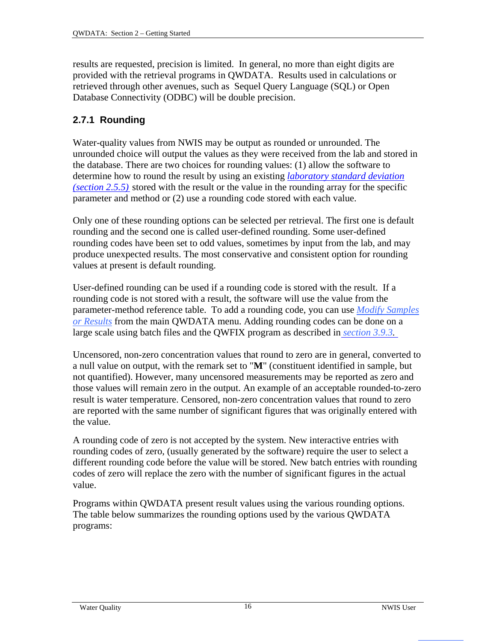<span id="page-12-0"></span>results are requested, precision is limited. In general, no more than eight digits are provided with the retrieval programs in QWDATA. Results used in calculations or retrieved through other avenues, such as Sequel Query Language (SQL) or Open Database Connectivity (ODBC) will be double precision.

#### **2.7.1 Rounding**

Water-quality values from NWIS may be output as rounded or unrounded. The unrounded choice will output the values as they were received from the lab and stored in the database. There are two choices for rounding values: (1) allow the software to determine how to round the result by using an existing *[laboratory standard deviation](#page-8-0)  (s[ection 2.5.5\)](#page-8-0)* stored with the result or the value in the rounding array for the specific parameter and method or (2) use a rounding code stored with each value.

Only one of these rounding options can be selected per retrieval. The first one is default rounding and the second one is called user-defined rounding. Some user-defined rounding codes have been set to odd values, sometimes by input from the lab, and may produce unexpected results. The most conservative and consistent option for rounding values at present is default rounding.

User-defined rounding can be used if a rounding code is stored with the result. If a rounding code is not stored with a result, the software will use the value from the parameter-method reference table. To add a rounding code, you can use *[Modify Samples](#page-5-0)  or [Results](#page-5-0)* from the main QWDATA menu. Adding rounding codes can be done on a large scale using batch files and the QWFIX program as described in *[section 3.9.3.](#page-3-0)*

Uncensored, non-zero concentration values that round to zero are in general, converted to a null value on output, with the remark set to "**M**" (constituent identified in sample, but not quantified). However, many uncensored measurements may be reported as zero and those values will remain zero in the output. An example of an acceptable rounded-to-zero result is water temperature. Censored, non-zero concentration values that round to zero are reported with the same number of significant figures that was originally entered with the value.

A rounding code of zero is not accepted by the system. New interactive entries with rounding codes of zero, (usually generated by the software) require the user to select a different rounding code before the value will be stored. New batch entries with rounding codes of zero will replace the zero with the number of significant figures in the actual value.

Programs within QWDATA present result values using the various rounding options. The table below summarizes the rounding options used by the various QWDATA programs: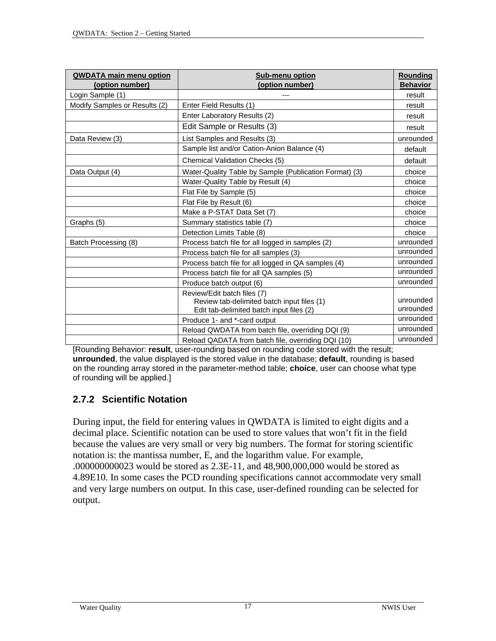<span id="page-13-0"></span>

| <b>QWDATA main menu option</b> | <b>Sub-menu option</b>                                                                                                | Rounding               |
|--------------------------------|-----------------------------------------------------------------------------------------------------------------------|------------------------|
| (option number)                | (option number)                                                                                                       | <b>Behavior</b>        |
| Login Sample (1)               |                                                                                                                       | result                 |
| Modify Samples or Results (2)  | Enter Field Results (1)                                                                                               | result                 |
|                                | Enter Laboratory Results (2)                                                                                          | result                 |
|                                | Edit Sample or Results (3)                                                                                            | result                 |
| Data Review (3)                | List Samples and Results (3)                                                                                          | unrounded              |
|                                | Sample list and/or Cation-Anion Balance (4)                                                                           | default                |
|                                | Chemical Validation Checks (5)                                                                                        | default                |
| Data Output (4)                | Water-Quality Table by Sample (Publication Format) (3)                                                                | choice                 |
|                                | Water-Quality Table by Result (4)                                                                                     | choice                 |
|                                | Flat File by Sample (5)                                                                                               | choice                 |
|                                | Flat File by Result (6)                                                                                               | choice                 |
|                                | Make a P-STAT Data Set (7)                                                                                            | choice                 |
| Graphs (5)                     | Summary statistics table (7)                                                                                          | choice                 |
|                                | Detection Limits Table (8)                                                                                            | choice                 |
| Batch Processing (8)           | Process batch file for all logged in samples (2)                                                                      | unrounded              |
|                                | Process batch file for all samples (3)                                                                                | unrounded              |
|                                | Process batch file for all logged in QA samples (4)                                                                   | unrounded              |
|                                | Process batch file for all QA samples (5)                                                                             | unrounded              |
|                                | Produce batch output (6)                                                                                              | unrounded              |
|                                | Review/Edit batch files (7)<br>Review tab-delimited batch input files (1)<br>Edit tab-delimited batch input files (2) | unrounded<br>unrounded |
|                                | Produce 1- and *-card output                                                                                          | unrounded              |
|                                | Reload QWDATA from batch file, overriding DQI (9)                                                                     | unrounded              |
|                                | Reload QADATA from batch file, overriding DQI (10)                                                                    | unrounded              |

[Rounding Behavior: **result**, user-rounding based on rounding code stored with the result; **unrounded**, the value displayed is the stored value in the database; **default**, rounding is based on the rounding array stored in the parameter-method table; **choice**, user can choose what type of rounding will be applied.]

#### **2.7.2 Scientific Notation**

During input, the field for entering values in QWDATA is limited to eight digits and a decimal place. Scientific notation can be used to store values that won't fit in the field because the values are very small or very big numbers. The format for storing scientific notation is: the mantissa number, E, and the logarithm value. For example, .000000000023 would be stored as 2.3E-11, and 48,900,000,000 would be stored as 4.89E10. In some cases the PCD rounding specifications cannot accommodate very small and very large numbers on output. In this case, user-defined rounding can be selected for output.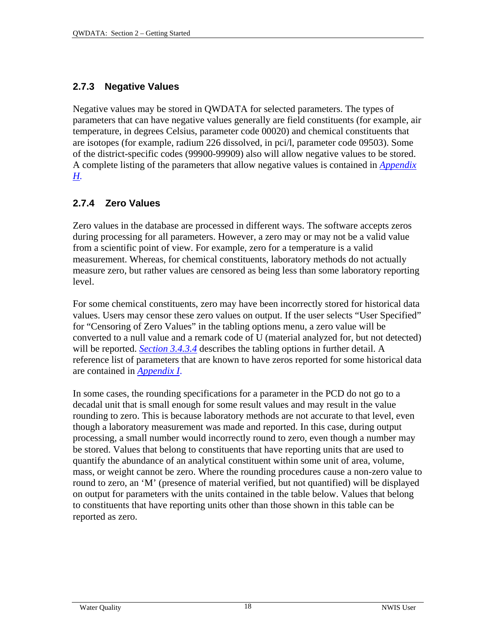#### <span id="page-14-0"></span>**2.7.3 Negative Values**

Negative values may be stored in QWDATA for selected parameters. The types of parameters that can have negative values generally are field constituents (for example, air temperature, in degrees Celsius, parameter code 00020) and chemical constituents that are isotopes (for example, radium 226 dissolved, in pci/l, parameter code 09503). Some of the district-specific codes (99900-99909) also will allow negative values to be stored. A complete listing of the parameters that allow negative values is contained in *[Appendix](#page-0-0)  [H](#page-0-0).*

#### **2.7.4 Zero Values**

Zero values in the database are processed in different ways. The software accepts zeros during processing for all parameters. However, a zero may or may not be a valid value from a scientific point of view. For example, zero for a temperature is a valid measurement. Whereas, for chemical constituents, laboratory methods do not actually measure zero, but rather values are censored as being less than some laboratory reporting level.

For some chemical constituents, zero may have been incorrectly stored for historical data values. Users may censor these zero values on output. If the user selects "User Specified" for "Censoring of Zero Values" in the tabling options menu, a zero value will be converted to a null value and a remark code of U (material analyzed for, but not detected) will be reported. *[Section 3.4.3.4](#page-10-0)* describes the tabling options in further detail. A reference list of parameters that are known to have zeros reported for some historical data are contained in *[Appendix I](#page-0-0)*.

In some cases, the rounding specifications for a parameter in the PCD do not go to a decadal unit that is small enough for some result values and may result in the value rounding to zero. This is because laboratory methods are not accurate to that level, even though a laboratory measurement was made and reported. In this case, during output processing, a small number would incorrectly round to zero, even though a number may be stored. Values that belong to constituents that have reporting units that are used to quantify the abundance of an analytical constituent within some unit of area, volume, mass, or weight cannot be zero. Where the rounding procedures cause a non-zero value to round to zero, an 'M' (presence of material verified, but not quantified) will be displayed on output for parameters with the units contained in the table below. Values that belong to constituents that have reporting units other than those shown in this table can be reported as zero.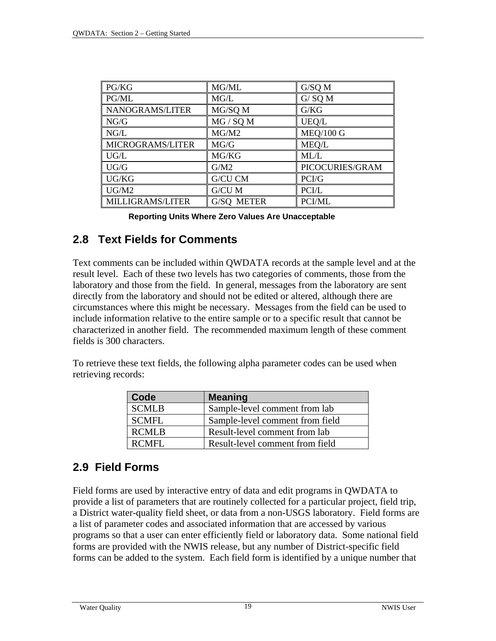| PG/KG                   | MG/ML      | G/SQ M           |
|-------------------------|------------|------------------|
| PG/ML                   | MG/L       | $G/$ SQ M        |
| NANOGRAMS/LITER         | MG/SQ M    | G/KG             |
| NG/G                    | MG / SQ M  | UEQ/L            |
| NG/L                    | MG/M2      | <b>MEQ/100 G</b> |
| MICROGRAMS/LITER        | MG/G       | MEQ/L            |
| UG/L                    | MG/KG      | ML/L             |
| UG/G                    | G/M2       | PICOCURIES/GRAM  |
| UG/KG                   | G/CU CM    | PCI/G            |
| UG/M2                   | G/CU M     | PCI/L            |
| <b>MILLIGRAMS/LITER</b> | G/SQ METER | PCI/ML           |

**Reporting Units Where Zero Values Are Unacceptable** 

### **2.8 Text Fields for Comments**

Text comments can be included within QWDATA records at the sample level and at the result level. Each of these two levels has two categories of comments, those from the laboratory and those from the field. In general, messages from the laboratory are sent directly from the laboratory and should not be edited or altered, although there are circumstances where this might be necessary. Messages from the field can be used to include information relative to the entire sample or to a specific result that cannot be characterized in another field. The recommended maximum length of these comment fields is 300 characters.

To retrieve these text fields, the following alpha parameter codes can be used when retrieving records:

| Code         | <b>Meaning</b>                  |
|--------------|---------------------------------|
| <b>SCMLB</b> | Sample-level comment from lab   |
| <b>SCMFL</b> | Sample-level comment from field |
| <b>RCMLB</b> | Result-level comment from lab   |
| RCMFL        | Result-level comment from field |

# **2.9 Field Forms**

Field forms are used by interactive entry of data and edit programs in QWDATA to provide a list of parameters that are routinely collected for a particular project, field trip, a District water-quality field sheet, or data from a non-USGS laboratory. Field forms are a list of parameter codes and associated information that are accessed by various programs so that a user can enter efficiently field or laboratory data. Some national field forms are provided with the NWIS release, but any number of District-specific field forms can be added to the system. Each field form is identified by a unique number that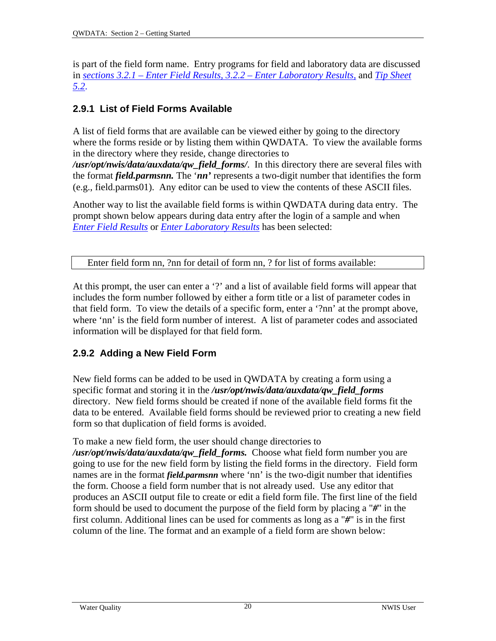<span id="page-16-0"></span>is part of the field form name. Entry programs for field and laboratory data are discussed in *[sections 3.2.1 – Enter Field Results,](#page-6-0) [3.2.2 – Enter Laboratory Results,](#page-9-0)* and *[Tip Sheet](#page-0-0)  [5.2](#page-0-0)*.

# **2.9.1 List of Field Forms Available**

A list of field forms that are available can be viewed either by going to the directory where the forms reside or by listing them within QWDATA. To view the available forms in the directory where they reside, change directories to

*/usr/opt/nwis/data/auxdata/qw\_field\_forms/*.In this directory there are several files with the format *field.parmsnn.* The '*nn'* represents a two-digit number that identifies the form (e.g., field.parms01). Any editor can be used to view the contents of these ASCII files.

Another way to list the available field forms is within QWDATA during data entry. The prompt shown below appears during data entry after the login of a sample and when *[Enter Field Results](#page-6-0)* or *[Enter Laboratory Results](#page-9-0)* has been selected:

Enter field form nn, ?nn for detail of form nn, ? for list of forms available:

At this prompt, the user can enter a '?' and a list of available field forms will appear that includes the form number followed by either a form title or a list of parameter codes in that field form. To view the details of a specific form, enter a '?nn' at the prompt above, where 'nn' is the field form number of interest. A list of parameter codes and associated information will be displayed for that field form.

# **2.9.2 Adding a New Field Form**

New field forms can be added to be used in QWDATA by creating a form using a specific format and storing it in the */usr/opt/nwis/data/auxdata/qw\_field\_forms*  directory. New field forms should be created if none of the available field forms fit the data to be entered. Available field forms should be reviewed prior to creating a new field form so that duplication of field forms is avoided.

To make a new field form, the user should change directories to

*/usr/opt/nwis/data/auxdata/qw\_field\_forms.* Choose what field form number you are going to use for the new field form by listing the field forms in the directory. Field form names are in the format *field.parmsnn* where 'nn' is the two-digit number that identifies the form. Choose a field form number that is not already used. Use any editor that produces an ASCII output file to create or edit a field form file. The first line of the field form should be used to document the purpose of the field form by placing a "*#*" in the first column. Additional lines can be used for comments as long as a "*#*" is in the first column of the line. The format and an example of a field form are shown below: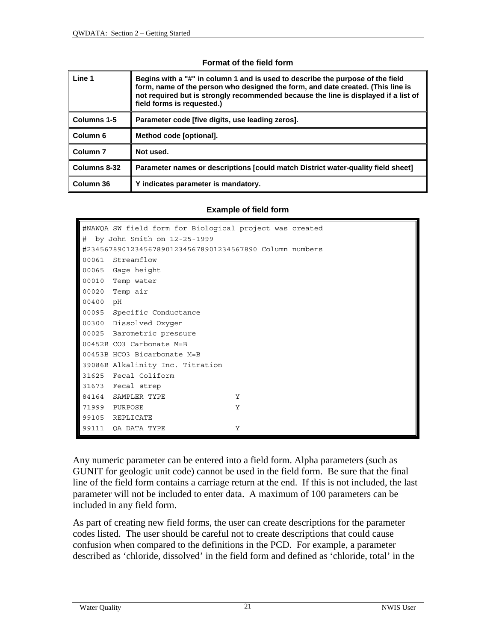#### **Format of the field form**

<span id="page-17-0"></span>

| Line 1              | Begins with a "#" in column 1 and is used to describe the purpose of the field<br>form, name of the person who designed the form, and date created. (This line is<br>not required but is strongly recommended because the line is displayed if a list of<br>field forms is requested.) |  |
|---------------------|----------------------------------------------------------------------------------------------------------------------------------------------------------------------------------------------------------------------------------------------------------------------------------------|--|
| Columns 1-5         | Parameter code [five digits, use leading zeros].                                                                                                                                                                                                                                       |  |
| Column <sub>6</sub> | Method code [optional].                                                                                                                                                                                                                                                                |  |
| Column <sub>7</sub> | Not used.                                                                                                                                                                                                                                                                              |  |
| Columns 8-32        | Parameter names or descriptions [could match District water-quality field sheet]                                                                                                                                                                                                       |  |
| Column 36           | Y indicates parameter is mandatory.                                                                                                                                                                                                                                                    |  |

#### **Example of field form**

|          | #NAWQA SW field form for Biological project was created |   |  |  |
|----------|---------------------------------------------------------|---|--|--|
| #        | by John Smith on 12-25-1999                             |   |  |  |
|          | #234567890123456789012345678901234567890 Column numbers |   |  |  |
|          | 00061 Streamflow                                        |   |  |  |
|          | 00065 Gage height                                       |   |  |  |
|          | 00010 Temp water                                        |   |  |  |
|          | 00020 Temp air                                          |   |  |  |
| 00400 pH |                                                         |   |  |  |
|          | 00095 Specific Conductance                              |   |  |  |
|          | 00300 Dissolved Oxygen                                  |   |  |  |
|          | 00025 Barometric pressure                               |   |  |  |
|          | 00452B CO3 Carbonate M=B                                |   |  |  |
|          | 00453B HCO3 Bicarbonate M=B                             |   |  |  |
|          | 39086B Alkalinity Inc. Titration                        |   |  |  |
|          | 31625 Fecal Coliform                                    |   |  |  |
|          | 31673 Fecal strep                                       |   |  |  |
|          | 84164 SAMPLER TYPE                                      | Y |  |  |
|          | 71999 PURPOSE                                           | Y |  |  |
|          | 99105 REPLICATE                                         |   |  |  |
|          | 99111 QA DATA TYPE                                      | Y |  |  |

Any numeric parameter can be entered into a field form. Alpha parameters (such as GUNIT for geologic unit code) cannot be used in the field form. Be sure that the final line of the field form contains a carriage return at the end. If this is not included, the last parameter will not be included to enter data. A maximum of 100 parameters can be included in any field form.

As part of creating new field forms, the user can create descriptions for the parameter codes listed. The user should be careful not to create descriptions that could cause confusion when compared to the definitions in the PCD. For example, a parameter described as 'chloride, dissolved' in the field form and defined as 'chloride, total' in the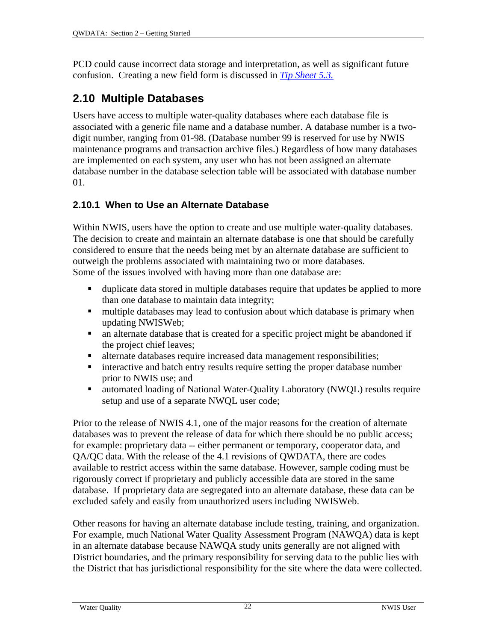PCD could cause incorrect data storage and interpretation, as well as significant future confusion. Creating a new field form is discussed in *[Tip Sheet 5.3.](#page-0-0)*

# **2.10 Multiple Databases**

Users have access to multiple water-quality databases where each database file is associated with a generic file name and a database number. A database number is a twodigit number, ranging from 01-98. (Database number 99 is reserved for use by NWIS maintenance programs and transaction archive files.) Regardless of how many databases are implemented on each system, any user who has not been assigned an alternate database number in the database selection table will be associated with database number 01.

### **2.10.1 When to Use an Alternate Database**

Within NWIS, users have the option to create and use multiple water-quality databases. The decision to create and maintain an alternate database is one that should be carefully considered to ensure that the needs being met by an alternate database are sufficient to outweigh the problems associated with maintaining two or more databases. Some of the issues involved with having more than one database are:

- duplicate data stored in multiple databases require that updates be applied to more than one database to maintain data integrity;
- multiple databases may lead to confusion about which database is primary when updating NWISWeb;
- an alternate database that is created for a specific project might be abandoned if the project chief leaves;
- alternate databases require increased data management responsibilities;
- **EXECUTE:** interactive and batch entry results require setting the proper database number prior to NWIS use; and
- automated loading of National Water-Quality Laboratory (NWQL) results require setup and use of a separate NWQL user code;

Prior to the release of NWIS 4.1, one of the major reasons for the creation of alternate databases was to prevent the release of data for which there should be no public access; for example: proprietary data -- either permanent or temporary, cooperator data, and QA/QC data. With the release of the 4.1 revisions of QWDATA, there are codes available to restrict access within the same database. However, sample coding must be rigorously correct if proprietary and publicly accessible data are stored in the same database. If proprietary data are segregated into an alternate database, these data can be excluded safely and easily from unauthorized users including NWISWeb.

Other reasons for having an alternate database include testing, training, and organization. For example, much National Water Quality Assessment Program (NAWQA) data is kept in an alternate database because NAWQA study units generally are not aligned with District boundaries, and the primary responsibility for serving data to the public lies with the District that has jurisdictional responsibility for the site where the data were collected.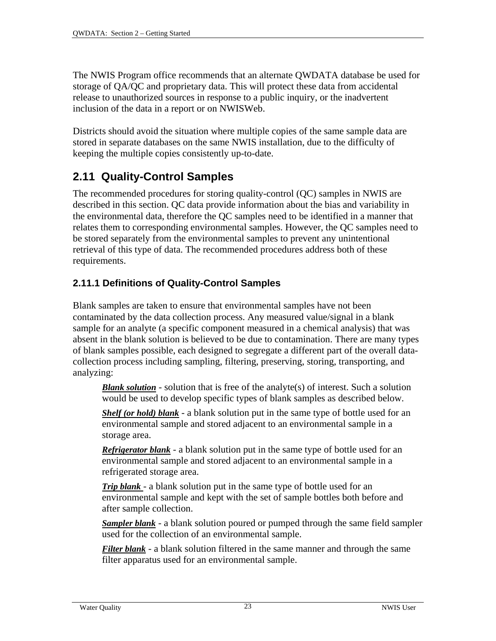The NWIS Program office recommends that an alternate QWDATA database be used for storage of QA/QC and proprietary data. This will protect these data from accidental release to unauthorized sources in response to a public inquiry, or the inadvertent inclusion of the data in a report or on NWISWeb.

Districts should avoid the situation where multiple copies of the same sample data are stored in separate databases on the same NWIS installation, due to the difficulty of keeping the multiple copies consistently up-to-date.

# **2.11 Quality-Control Samples**

The recommended procedures for storing quality-control (QC) samples in NWIS are described in this section. QC data provide information about the bias and variability in the environmental data, therefore the QC samples need to be identified in a manner that relates them to corresponding environmental samples. However, the QC samples need to be stored separately from the environmental samples to prevent any unintentional retrieval of this type of data. The recommended procedures address both of these requirements.

#### **2.11.1 Definitions of Quality-Control Samples**

Blank samples are taken to ensure that environmental samples have not been contaminated by the data collection process. Any measured value/signal in a blank sample for an analyte (a specific component measured in a chemical analysis) that was absent in the blank solution is believed to be due to contamination. There are many types of blank samples possible, each designed to segregate a different part of the overall datacollection process including sampling, filtering, preserving, storing, transporting, and analyzing:

*Blank solution* - solution that is free of the analyte(s) of interest. Such a solution would be used to develop specific types of blank samples as described below.

*Shelf (or hold) blank* - a blank solution put in the same type of bottle used for an environmental sample and stored adjacent to an environmental sample in a storage area.

*Refrigerator blank* - a blank solution put in the same type of bottle used for an environmental sample and stored adjacent to an environmental sample in a refrigerated storage area.

*Trip blank* - a blank solution put in the same type of bottle used for an environmental sample and kept with the set of sample bottles both before and after sample collection.

*Sampler blank* - a blank solution poured or pumped through the same field sampler used for the collection of an environmental sample.

*Filter blank* - a blank solution filtered in the same manner and through the same filter apparatus used for an environmental sample.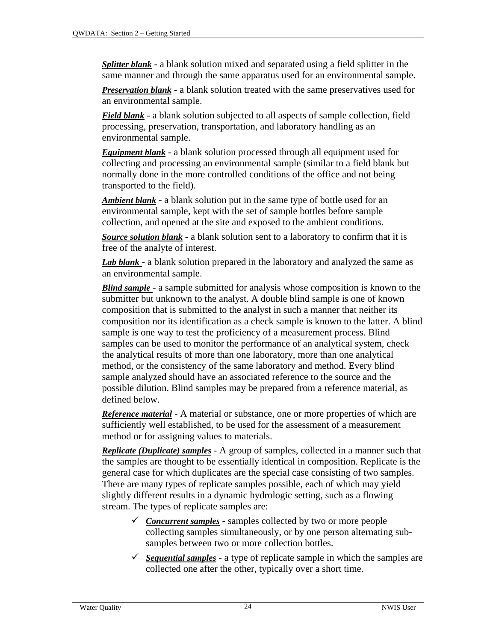<span id="page-20-0"></span>*Splitter blank* - a blank solution mixed and separated using a field splitter in the same manner and through the same apparatus used for an environmental sample.

*Preservation blank* - a blank solution treated with the same preservatives used for an environmental sample.

*Field blank* - a blank solution subjected to all aspects of sample collection, field processing, preservation, transportation, and laboratory handling as an environmental sample.

*Equipment blank* - a blank solution processed through all equipment used for collecting and processing an environmental sample (similar to a field blank but normally done in the more controlled conditions of the office and not being transported to the field).

*Ambient blank* - a blank solution put in the same type of bottle used for an environmental sample, kept with the set of sample bottles before sample collection, and opened at the site and exposed to the ambient conditions.

*Source solution blank* - a blank solution sent to a laboratory to confirm that it is free of the analyte of interest.

*Lab blank* - a blank solution prepared in the laboratory and analyzed the same as an environmental sample.

*Blind sample* - a sample submitted for analysis whose composition is known to the submitter but unknown to the analyst. A double blind sample is one of known composition that is submitted to the analyst in such a manner that neither its composition nor its identification as a check sample is known to the latter. A blind sample is one way to test the proficiency of a measurement process. Blind samples can be used to monitor the performance of an analytical system, check the analytical results of more than one laboratory, more than one analytical method, or the consistency of the same laboratory and method. Every blind sample analyzed should have an associated reference to the source and the possible dilution. Blind samples may be prepared from a reference material, as defined below.

*Reference material* - A material or substance, one or more properties of which are sufficiently well established, to be used for the assessment of a measurement method or for assigning values to materials.

*Replicate (Duplicate) samples* - A group of samples, collected in a manner such that the samples are thought to be essentially identical in composition. Replicate is the general case for which duplicates are the special case consisting of two samples. There are many types of replicate samples possible, each of which may yield slightly different results in a dynamic hydrologic setting, such as a flowing stream. The types of replicate samples are:

- 9 *Concurrent samples* samples collected by two or more people collecting samples simultaneously, or by one person alternating subsamples between two or more collection bottles.
- $\checkmark$  *Sequential samples* a type of replicate sample in which the samples are collected one after the other, typically over a short time.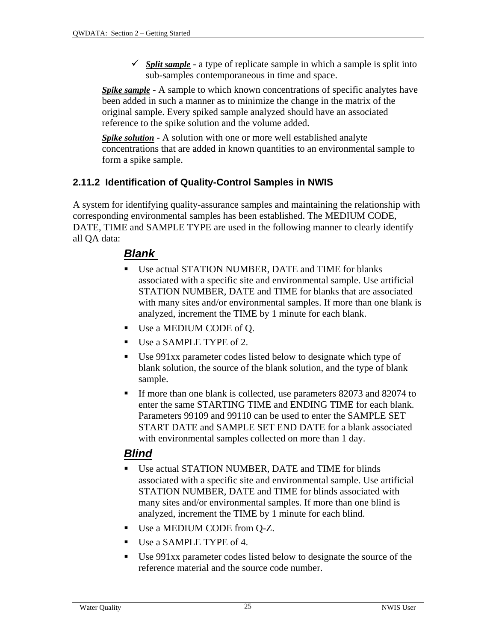$\checkmark$  *Split sample* - a type of replicate sample in which a sample is split into sub-samples contemporaneous in time and space.

*Spike sample* - A sample to which known concentrations of specific analytes have been added in such a manner as to minimize the change in the matrix of the original sample. Every spiked sample analyzed should have an associated reference to the spike solution and the volume added.

*Spike solution* - A solution with one or more well established analyte concentrations that are added in known quantities to an environmental sample to form a spike sample.

#### **2.11.2 Identification of Quality-Control Samples in NWIS**

A system for identifying quality-assurance samples and maintaining the relationship with corresponding environmental samples has been established. The MEDIUM CODE, DATE, TIME and SAMPLE TYPE are used in the following manner to clearly identify all QA data:

#### *Blank*

- Use actual STATION NUMBER, DATE and TIME for blanks associated with a specific site and environmental sample. Use artificial STATION NUMBER, DATE and TIME for blanks that are associated with many sites and/or environmental samples. If more than one blank is analyzed, increment the TIME by 1 minute for each blank.
- Use a MEDIUM CODE of Q.
- Use a SAMPLE TYPE of 2.
- Use 991xx parameter codes listed below to designate which type of blank solution, the source of the blank solution, and the type of blank sample.
- If more than one blank is collected, use parameters 82073 and 82074 to enter the same STARTING TIME and ENDING TIME for each blank. Parameters 99109 and 99110 can be used to enter the SAMPLE SET START DATE and SAMPLE SET END DATE for a blank associated with environmental samples collected on more than 1 day.

# *Blind*

- Use actual STATION NUMBER, DATE and TIME for blinds associated with a specific site and environmental sample. Use artificial STATION NUMBER, DATE and TIME for blinds associated with many sites and/or environmental samples. If more than one blind is analyzed, increment the TIME by 1 minute for each blind.
- Use a MEDIUM CODE from Q-Z.
- Use a SAMPLE TYPE of 4.
- Use 991xx parameter codes listed below to designate the source of the reference material and the source code number.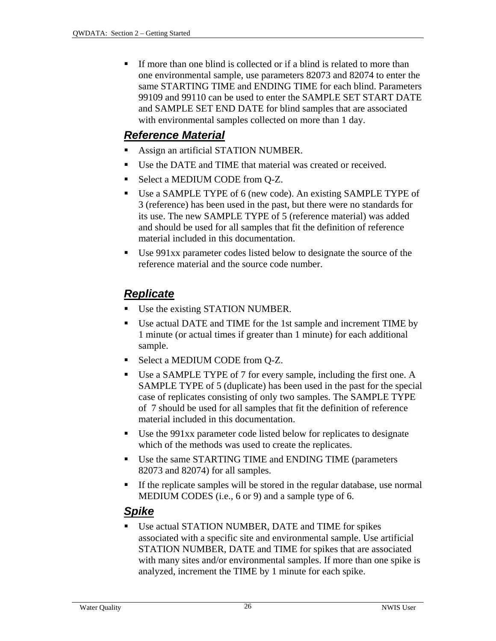If more than one blind is collected or if a blind is related to more than one environmental sample, use parameters 82073 and 82074 to enter the same STARTING TIME and ENDING TIME for each blind. Parameters 99109 and 99110 can be used to enter the SAMPLE SET START DATE and SAMPLE SET END DATE for blind samples that are associated with environmental samples collected on more than 1 day.

### *Reference Material*

- Assign an artificial STATION NUMBER.
- Use the DATE and TIME that material was created or received.
- Select a MEDIUM CODE from O-Z.
- Use a SAMPLE TYPE of 6 (new code). An existing SAMPLE TYPE of 3 (reference) has been used in the past, but there were no standards for its use. The new SAMPLE TYPE of 5 (reference material) was added and should be used for all samples that fit the definition of reference material included in this documentation.
- Use 991xx parameter codes listed below to designate the source of the reference material and the source code number.

# *Replicate*

- Use the existing STATION NUMBER.
- Use actual DATE and TIME for the 1st sample and increment TIME by 1 minute (or actual times if greater than 1 minute) for each additional sample.
- Select a MEDIUM CODE from Q-Z.
- Use a SAMPLE TYPE of 7 for every sample, including the first one. A SAMPLE TYPE of 5 (duplicate) has been used in the past for the special case of replicates consisting of only two samples. The SAMPLE TYPE of 7 should be used for all samples that fit the definition of reference material included in this documentation.
- Use the 991xx parameter code listed below for replicates to designate which of the methods was used to create the replicates.
- Use the same STARTING TIME and ENDING TIME (parameters 82073 and 82074) for all samples.
- If the replicate samples will be stored in the regular database, use normal MEDIUM CODES (i.e., 6 or 9) and a sample type of 6.

# *Spike*

 Use actual STATION NUMBER, DATE and TIME for spikes associated with a specific site and environmental sample. Use artificial STATION NUMBER, DATE and TIME for spikes that are associated with many sites and/or environmental samples. If more than one spike is analyzed, increment the TIME by 1 minute for each spike.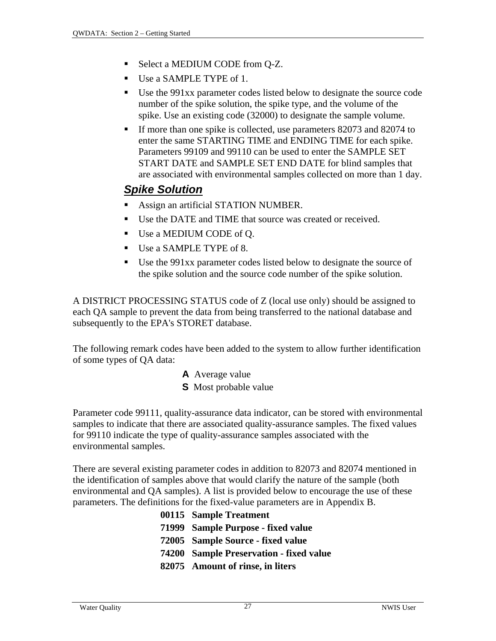- Select a MEDIUM CODE from Q-Z.
- Use a SAMPLE TYPE of 1.
- Use the 991xx parameter codes listed below to designate the source code number of the spike solution, the spike type, and the volume of the spike. Use an existing code (32000) to designate the sample volume.
- If more than one spike is collected, use parameters 82073 and 82074 to enter the same STARTING TIME and ENDING TIME for each spike. Parameters 99109 and 99110 can be used to enter the SAMPLE SET START DATE and SAMPLE SET END DATE for blind samples that are associated with environmental samples collected on more than 1 day.

# *Spike Solution*

- Assign an artificial STATION NUMBER.
- Use the DATE and TIME that source was created or received.
- Use a MEDIUM CODE of Q.
- Use a SAMPLE TYPE of 8.
- Use the 991xx parameter codes listed below to designate the source of the spike solution and the source code number of the spike solution.

A DISTRICT PROCESSING STATUS code of Z (local use only) should be assigned to each QA sample to prevent the data from being transferred to the national database and subsequently to the EPA's STORET database.

The following remark codes have been added to the system to allow further identification of some types of QA data:

- **A** Average value
- **S** Most probable value

Parameter code 99111, quality-assurance data indicator, can be stored with environmental samples to indicate that there are associated quality-assurance samples. The fixed values for 99110 indicate the type of quality-assurance samples associated with the environmental samples.

There are several existing parameter codes in addition to 82073 and 82074 mentioned in the identification of samples above that would clarify the nature of the sample (both environmental and QA samples). A list is provided below to encourage the use of these parameters. The definitions for the fixed-value parameters are in Appendix B.

> **00115 Sample Treatment 71999 Sample Purpose - fixed value 72005 Sample Source - fixed value 74200 Sample Preservation - fixed value 82075 Amount of rinse, in liters**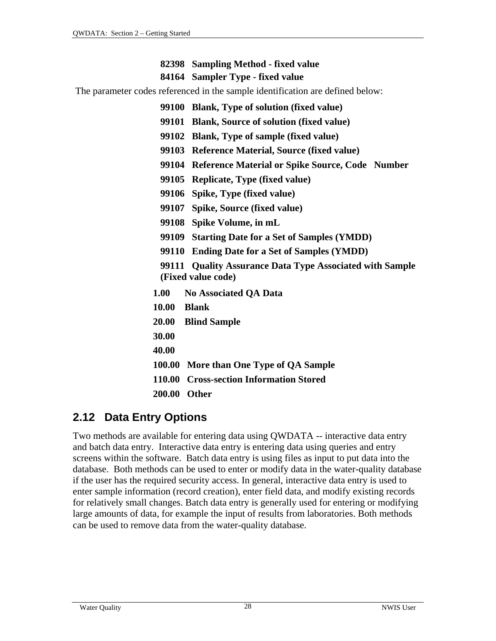#### **82398 Sampling Method - fixed value**

#### **84164 Sampler Type - fixed value**

The parameter codes referenced in the sample identification are defined below:

**99100 Blank, Type of solution (fixed value)** 

- **99101 Blank, Source of solution (fixed value)**
- **99102 Blank, Type of sample (fixed value)**
- **99103 Reference Material, Source (fixed value)**
- **99104 Reference Material or Spike Source, Code Number**
- **99105 Replicate, Type (fixed value)**
- **99106 Spike, Type (fixed value)**
- **99107 Spike, Source (fixed value)**
- **99108 Spike Volume, in mL**
- **99109 Starting Date for a Set of Samples (YMDD)**
- **99110 Ending Date for a Set of Samples (YMDD)**
- **99111 Quality Assurance Data Type Associated with Sample (Fixed value code)**
- **1.00 No Associated QA Data**
- **10.00 Blank**
- **20.00 Blind Sample**
- **30.00**
- **40.00**
- **100.00 More than One Type of QA Sample**
- **110.00 Cross-section Information Stored**
- **200.00 Other**

# **2.12 Data Entry Options**

Two methods are available for entering data using QWDATA -- interactive data entry and batch data entry. Interactive data entry is entering data using queries and entry screens within the software. Batch data entry is using files as input to put data into the database. Both methods can be used to enter or modify data in the water-quality database if the user has the required security access. In general, interactive data entry is used to enter sample information (record creation), enter field data, and modify existing records for relatively small changes. Batch data entry is generally used for entering or modifying large amounts of data, for example the input of results from laboratories. Both methods can be used to remove data from the water-quality database.